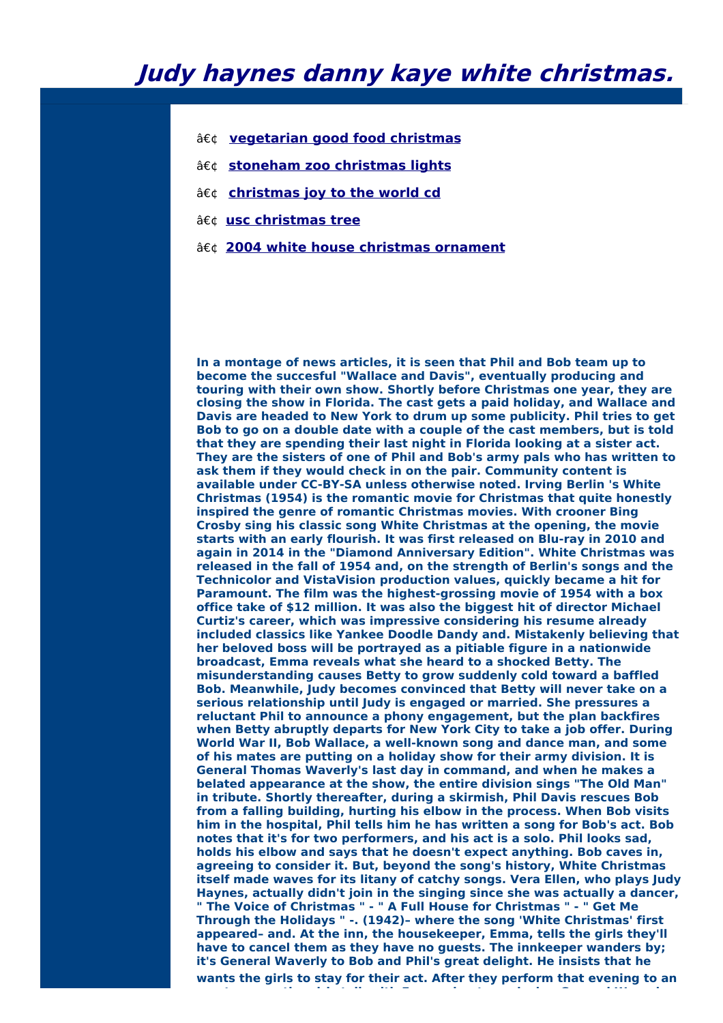- **[vegetarian](http://foto-ms.pl/detail/news/902568/chrismas/) good food christmas**
- **[stoneham](http://foto-ms.pl/detail/news/530402/chrismas/) zoo christmas lights**
- **a**€¢ [christmas](http://foto-ms.pl/detail/news/683059/chrismas/) joy to the world cd
- **usc [christmas](http://foto-ms.pl/detail/news/389689/chrismas/) tree**
- **2004 white house [christmas](http://foto-ms.pl/detail/news/374595/chrismas/) ornament**

**In a montage of news articles, it is seen that Phil and Bob team up to become the succesful "Wallace and Davis", eventually producing and touring with their own show. Shortly before Christmas one year, they are closing the show in Florida. The cast gets a paid holiday, and Wallace and Davis are headed to New York to drum up some publicity. Phil tries to get Bob to go on a double date with a couple of the cast members, but is told that they are spending their last night in Florida looking at a sister act. They are the sisters of one of Phil and Bob's army pals who has written to ask them if they would check in on the pair. Community content is available under CC-BY-SA unless otherwise noted. Irving Berlin 's White Christmas (1954) is the romantic movie for Christmas that quite honestly inspired the genre of romantic Christmas movies. With crooner Bing Crosby sing his classic song White Christmas at the opening, the movie starts with an early flourish. It was first released on Blu-ray in 2010 and again in 2014 in the "Diamond Anniversary Edition". White Christmas was released in the fall of 1954 and, on the strength of Berlin's songs and the Technicolor and VistaVision production values, quickly became a hit for Paramount. The film was the highest-grossing movie of 1954 with a box office take of \$12 million. It was also the biggest hit of director Michael Curtiz's career, which was impressive considering his resume already included classics like Yankee Doodle Dandy and. Mistakenly believing that her beloved boss will be portrayed as a pitiable figure in a nationwide broadcast, Emma reveals what she heard to a shocked Betty. The misunderstanding causes Betty to grow suddenly cold toward a baffled Bob. Meanwhile, Judy becomes convinced that Betty will never take on a serious relationship until Judy is engaged or married. She pressures a reluctant Phil to announce a phony engagement, but the plan backfires when Betty abruptly departs for New York City to take a job offer. During World War II, Bob Wallace, a well-known song and dance man, and some of his mates are putting on a holiday show for their army division. It is General Thomas Waverly's last day in command, and when he makes a belated appearance at the show, the entire division sings "The Old Man" in tribute. Shortly thereafter, during a skirmish, Phil Davis rescues Bob from a falling building, hurting his elbow in the process. When Bob visits him in the hospital, Phil tells him he has written a song for Bob's act. Bob notes that it's for two performers, and his act is a solo. Phil looks sad, holds his elbow and says that he doesn't expect anything. Bob caves in, agreeing to consider it. But, beyond the song's history, White Christmas itself made waves for its litany of catchy songs. Vera Ellen, who plays Judy Haynes, actually didn't join in the singing since she was actually a dancer, " The Voice of Christmas " - " A Full House for Christmas " - " Get Me Through the Holidays " -. (1942)– where the song 'White Christmas' first appeared– and. At the inn, the housekeeper, Emma, tells the girls they'll have to cancel them as they have no guests. The innkeeper wanders by; it's General Waverly to Bob and Phil's great delight. He insists that he wants the girls to stay for their act. After they perform that evening to an**

**empty room, the girls talk with Emma about convincing General Waverly**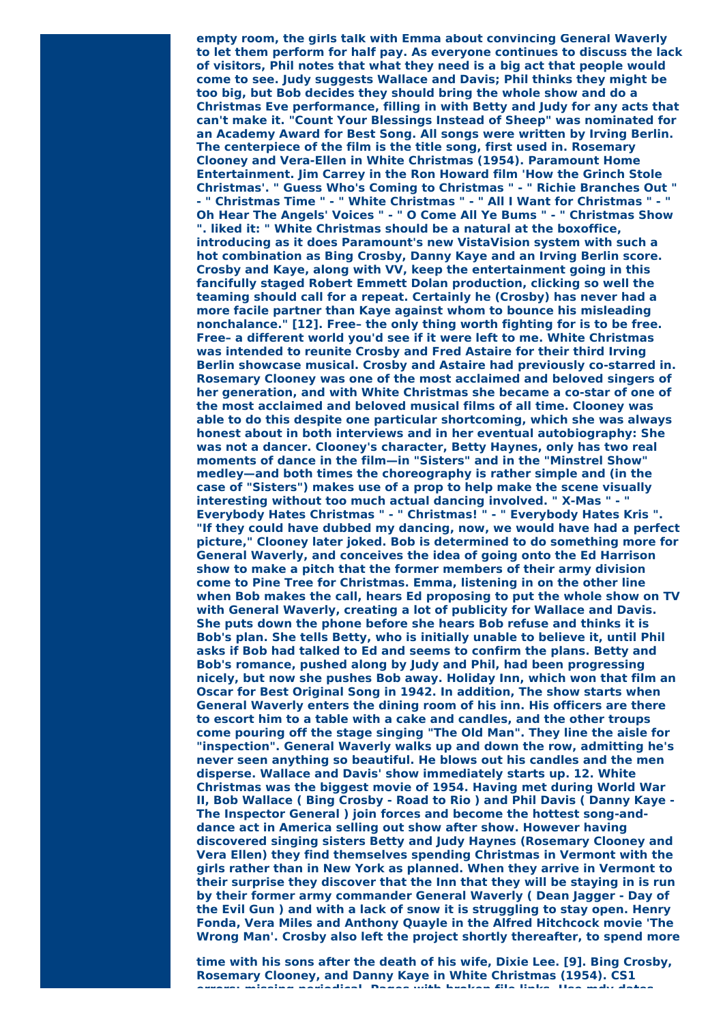**empty room, the girls talk with Emma about convincing General Waverly to let them perform for half pay. As everyone continues to discuss the lack of visitors, Phil notes that what they need is a big act that people would come to see. Judy suggests Wallace and Davis; Phil thinks they might be too big, but Bob decides they should bring the whole show and do a Christmas Eve performance, filling in with Betty and Judy for any acts that can't make it. "Count Your Blessings Instead of Sheep" was nominated for an Academy Award for Best Song. All songs were written by Irving Berlin. The centerpiece of the film is the title song, first used in. Rosemary Clooney and Vera-Ellen in White Christmas (1954). Paramount Home Entertainment. Jim Carrey in the Ron Howard film 'How the Grinch Stole Christmas'. " Guess Who's Coming to Christmas " - " Richie Branches Out " - " Christmas Time " - " White Christmas " - " All I Want for Christmas " - " Oh Hear The Angels' Voices " - " O Come All Ye Bums " - " Christmas Show ". liked it: " White Christmas should be a natural at the boxoffice, introducing as it does Paramount's new VistaVision system with such a hot combination as Bing Crosby, Danny Kaye and an Irving Berlin score. Crosby and Kaye, along with VV, keep the entertainment going in this fancifully staged Robert Emmett Dolan production, clicking so well the teaming should call for a repeat. Certainly he (Crosby) has never had a more facile partner than Kaye against whom to bounce his misleading nonchalance." [12]. Free– the only thing worth fighting for is to be free. Free– a different world you'd see if it were left to me. White Christmas was intended to reunite Crosby and Fred Astaire for their third Irving Berlin showcase musical. Crosby and Astaire had previously co-starred in. Rosemary Clooney was one of the most acclaimed and beloved singers of her generation, and with White Christmas she became a co-star of one of the most acclaimed and beloved musical films of all time. Clooney was able to do this despite one particular shortcoming, which she was always honest about in both interviews and in her eventual autobiography: She was not a dancer. Clooney's character, Betty Haynes, only has two real moments of dance in the film—in "Sisters" and in the "Minstrel Show" medley—and both times the choreography is rather simple and (in the case of "Sisters") makes use of a prop to help make the scene visually interesting without too much actual dancing involved. " X-Mas " - " Everybody Hates Christmas " - " Christmas! " - " Everybody Hates Kris ". "If they could have dubbed my dancing, now, we would have had a perfect picture," Clooney later joked. Bob is determined to do something more for General Waverly, and conceives the idea of going onto the Ed Harrison show to make a pitch that the former members of their army division come to Pine Tree for Christmas. Emma, listening in on the other line when Bob makes the call, hears Ed proposing to put the whole show on TV with General Waverly, creating a lot of publicity for Wallace and Davis. She puts down the phone before she hears Bob refuse and thinks it is Bob's plan. She tells Betty, who is initially unable to believe it, until Phil asks if Bob had talked to Ed and seems to confirm the plans. Betty and Bob's romance, pushed along by Judy and Phil, had been progressing nicely, but now she pushes Bob away. Holiday Inn, which won that film an Oscar for Best Original Song in 1942. In addition, The show starts when General Waverly enters the dining room of his inn. His officers are there to escort him to a table with a cake and candles, and the other troups come pouring off the stage singing "The Old Man". They line the aisle for "inspection". General Waverly walks up and down the row, admitting he's never seen anything so beautiful. He blows out his candles and the men disperse. Wallace and Davis' show immediately starts up. 12. White Christmas was the biggest movie of 1954. Having met during World War II, Bob Wallace ( Bing Crosby - Road to Rio ) and Phil Davis ( Danny Kaye - The Inspector General ) join forces and become the hottest song-anddance act in America selling out show after show. However having discovered singing sisters Betty and Judy Haynes (Rosemary Clooney and Vera Ellen) they find themselves spending Christmas in Vermont with the girls rather than in New York as planned. When they arrive in Vermont to their surprise they discover that the Inn that they will be staying in is run by their former army commander General Waverly ( Dean Jagger - Day of the Evil Gun ) and with a lack of snow it is struggling to stay open. Henry Fonda, Vera Miles and Anthony Quayle in the Alfred Hitchcock movie 'The Wrong Man'. Crosby also left the project shortly thereafter, to spend more**

**time with his sons after the death of his wife, Dixie Lee. [9]. Bing Crosby, Rosemary Clooney, and Danny Kaye in White Christmas (1954). CS1 errors: missing periodical, Pages with broken file links, Use mdy dates**